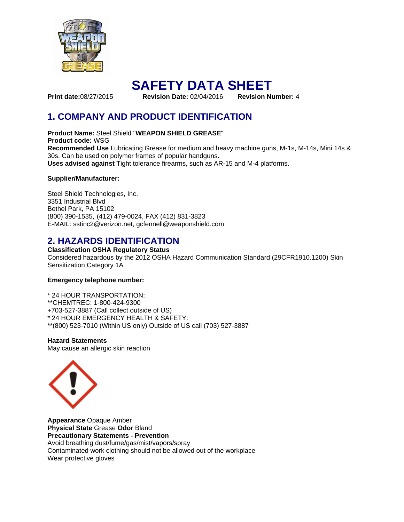

# **SAFETY DATA SHEET**

**Print date:**08/27/2015 **Revision Date:** 02/04/2016 **Revision Number:** 4

# **1. COMPANY AND PRODUCT IDENTIFICATION**

**Product Name:** Steel Shield "**WEAPON SHIELD GREASE**" **Product code:** WSG **Recommended Use** Lubricating Grease for medium and heavy machine guns, M-1s, M-14s, Mini 14s & 30s. Can be used on polymer frames of popular handguns. **Uses advised against** Tight tolerance firearms, such as AR-15 and M-4 platforms.

### **Supplier/Manufacturer:**

Steel Shield Technologies, Inc. 3351 Industrial Blvd Bethel Park, PA 15102 (800) 390-1535, (412) 479-0024, FAX (412) 831-3823 E-MAIL: sstinc2@verizon.net, gcfennell@weaponshield.com

## **2. HAZARDS IDENTIFICATION**

**Classification OSHA Regulatory Status** 

Considered hazardous by the 2012 OSHA Hazard Communication Standard (29CFR1910.1200) Skin Sensitization Category 1A

### **Emergency telephone number:**

- \* 24 HOUR TRANSPORTATION:
- \*\*CHEMTREC: 1-800-424-9300
- +703-527-3887 (Call collect outside of US)
- \* 24 HOUR EMERGENCY HEALTH & SAFETY:
- \*\*(800) 523-7010 (Within US only) Outside of US call (703) 527-3887

**Hazard Statements**  May cause an allergic skin reaction



**Appearance** Opaque Amber **Physical State** Grease **Odor** Bland **Precautionary Statements - Prevention**  Avoid breathing dust/fume/gas/mist/vapors/spray Contaminated work clothing should not be allowed out of the workplace Wear protective gloves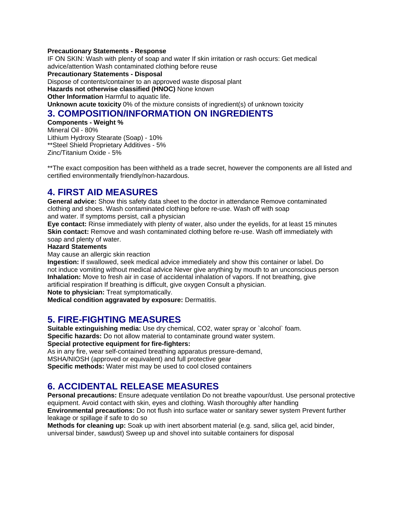#### **Precautionary Statements - Response**

IF ON SKIN: Wash with plenty of soap and water If skin irritation or rash occurs: Get medical advice/attention Wash contaminated clothing before reuse

**Precautionary Statements - Disposal** 

Dispose of contents/container to an approved waste disposal plant

**Hazards not otherwise classified (HNOC)** None known

**Other Information Harmful to aquatic life.** 

**Unknown acute toxicity** 0% of the mixture consists of ingredient(s) of unknown toxicity

## **3. COMPOSITION/INFORMATION ON INGREDIENTS**

**Components - Weight %**  Mineral Oil - 80% Lithium Hydroxy Stearate (Soap) - 10% \*\*Steel Shield Proprietary Additives - 5% Zinc/Titanium Oxide - 5%

\*\*The exact composition has been withheld as a trade secret, however the components are all listed and certified environmentally friendly/non-hazardous.

## **4. FIRST AID MEASURES**

**General advice:** Show this safety data sheet to the doctor in attendance Remove contaminated clothing and shoes. Wash contaminated clothing before re-use. Wash off with soap

and water. If symptoms persist, call a physician

**Eye contact:** Rinse immediately with plenty of water, also under the eyelids, for at least 15 minutes **Skin contact:** Remove and wash contaminated clothing before re-use. Wash off immediately with soap and plenty of water.

#### **Hazard Statements**

May cause an allergic skin reaction

**Ingestion:** If swallowed, seek medical advice immediately and show this container or label. Do not induce vomiting without medical advice Never give anything by mouth to an unconscious person **Inhalation:** Move to fresh air in case of accidental inhalation of vapors. If not breathing, give artificial respiration If breathing is difficult, give oxygen Consult a physician.

**Note to physician:** Treat symptomatically.

**Medical condition aggravated by exposure:** Dermatitis.

## **5. FIRE-FIGHTING MEASURES**

**Suitable extinguishing media:** Use dry chemical, CO2, water spray or `alcohol` foam. **Specific hazards:** Do not allow material to contaminate ground water system.

**Special protective equipment for fire-fighters:** 

As in any fire, wear self-contained breathing apparatus pressure-demand,

MSHA/NIOSH (approved or equivalent) and full protective gear

**Specific methods:** Water mist may be used to cool closed containers

# **6. ACCIDENTAL RELEASE MEASURES**

**Personal precautions:** Ensure adequate ventilation Do not breathe vapour/dust. Use personal protective equipment. Avoid contact with skin, eyes and clothing. Wash thoroughly after handling **Environmental precautions:** Do not flush into surface water or sanitary sewer system Prevent further leakage or spillage if safe to do so

**Methods for cleaning up:** Soak up with inert absorbent material (e.g. sand, silica gel, acid binder, universal binder, sawdust) Sweep up and shovel into suitable containers for disposal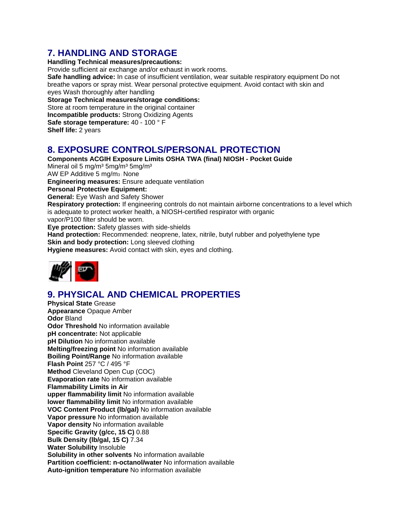# **7. HANDLING AND STORAGE**

**Handling Technical measures/precautions:** 

Provide sufficient air exchange and/or exhaust in work rooms.

**Safe handling advice:** In case of insufficient ventilation, wear suitable respiratory equipment Do not breathe vapors or spray mist. Wear personal protective equipment. Avoid contact with skin and eyes Wash thoroughly after handling

**Storage Technical measures/storage conditions:**  Store at room temperature in the original container **Incompatible products:** Strong Oxidizing Agents **Safe storage temperature:** 40 - 100 ° F **Shelf life:** 2 years

# **8. EXPOSURE CONTROLS/PERSONAL PROTECTION**

**Components ACGIH Exposure Limits OSHA TWA (final) NIOSH - Pocket Guide**  Mineral oil 5 mg/m<sup>3</sup> 5mg/m<sup>3</sup> 5mg/m<sup>3</sup> AW EP Additive 5 mg/m3 : None **Engineering measures:** Ensure adequate ventilation **Personal Protective Equipment: General:** Eye Wash and Safety Shower **Respiratory protection:** If engineering controls do not maintain airborne concentrations to a level which is adequate to protect worker health, a NIOSH-certified respirator with organic vapor/P100 filter should be worn. **Eye protection:** Safety glasses with side-shields **Hand protection:** Recommended: neoprene, latex, nitrile, butyl rubber and polyethylene type **Skin and body protection:** Long sleeved clothing **Hygiene measures:** Avoid contact with skin, eyes and clothing.



# **9. PHYSICAL AND CHEMICAL PROPERTIES**

**Physical State** Grease **Appearance** Opaque Amber **Odor** Bland **Odor Threshold** No information available **pH concentrate:** Not applicable **pH Dilution** No information available **Melting/freezing point** No information available **Boiling Point/Range** No information available **Flash Point** 257 °C / 495 °F **Method** Cleveland Open Cup (COC) **Evaporation rate** No information available **Flammability Limits in Air upper flammability limit** No information available **lower flammability limit** No information available **VOC Content Product (lb/gal)** No information available **Vapor pressure** No information available **Vapor density** No information available **Specific Gravity (g/cc, 15 C)** 0.88 **Bulk Density (lb/gal, 15 C)** 7.34 **Water Solubility** Insoluble **Solubility in other solvents** No information available **Partition coefficient: n-octanol/water** No information available **Auto-ignition temperature** No information available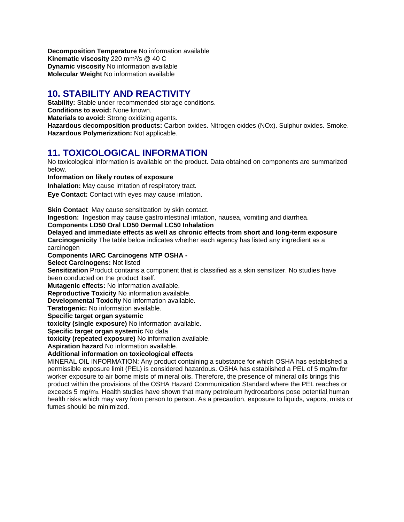**Decomposition Temperature** No information available **Kinematic viscosity** 220 mm²/s @ 40 C **Dynamic viscosity** No information available **Molecular Weight** No information available

# **10. STABILITY AND REACTIVITY**

**Stability:** Stable under recommended storage conditions. **Conditions to avoid:** None known. **Materials to avoid:** Strong oxidizing agents. **Hazardous decomposition products:** Carbon oxides. Nitrogen oxides (NOx). Sulphur oxides. Smoke. **Hazardous Polymerization:** Not applicable.

# **11. TOXICOLOGICAL INFORMATION**

No toxicological information is available on the product. Data obtained on components are summarized below.

**Information on likely routes of exposure**

**Inhalation:** May cause irritation of respiratory tract.

**Eye Contact:** Contact with eyes may cause irritation.

**Skin Contact** May cause sensitization by skin contact.

**Ingestion:** Ingestion may cause gastrointestinal irritation, nausea, vomiting and diarrhea.

### **Components LD50 Oral LD50 Dermal LC50 Inhalation**

**Delayed and immediate effects as well as chronic effects from short and long-term exposure Carcinogenicity** The table below indicates whether each agency has listed any ingredient as a carcinogen

**Components IARC Carcinogens NTP OSHA -** 

**Select Carcinogens:** Not listed

**Sensitization** Product contains a component that is classified as a skin sensitizer. No studies have been conducted on the product itself.

**Mutagenic effects:** No information available.

**Reproductive Toxicity** No information available.

**Developmental Toxicity** No information available.

**Teratogenic:** No information available.

**Specific target organ systemic** 

**toxicity (single exposure)** No information available.

**Specific target organ systemic** No data

**toxicity (repeated exposure)** No information available.

**Aspiration hazard** No information available.

**Additional information on toxicological effects** 

MINERAL OIL INFORMATION: Any product containing a substance for which OSHA has established a permissible exposure limit (PEL) is considered hazardous. OSHA has established a PEL of 5 mg/m3 for worker exposure to air borne mists of mineral oils. Therefore, the presence of mineral oils brings this product within the provisions of the OSHA Hazard Communication Standard where the PEL reaches or exceeds 5 mg/m3. Health studies have shown that many petroleum hydrocarbons pose potential human health risks which may vary from person to person. As a precaution, exposure to liquids, vapors, mists or fumes should be minimized.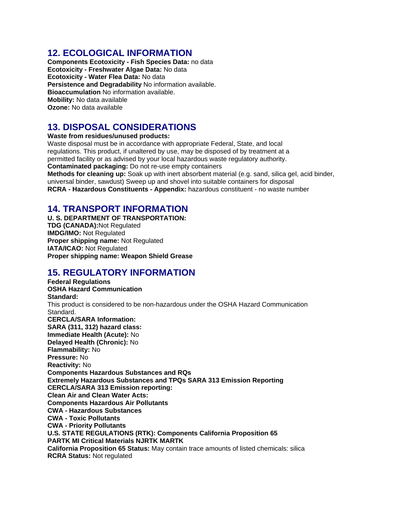## **12. ECOLOGICAL INFORMATION**

**Components Ecotoxicity - Fish Species Data:** no data **Ecotoxicity - Freshwater Algae Data:** No data **Ecotoxicity - Water Flea Data:** No data **Persistence and Degradability** No information available. **Bioaccumulation** No information available. **Mobility:** No data available **Ozone:** No data available

# **13. DISPOSAL CONSIDERATIONS**

**Waste from residues/unused products:** 

Waste disposal must be in accordance with appropriate Federal, State, and local regulations. This product, if unaltered by use, may be disposed of by treatment at a permitted facility or as advised by your local hazardous waste regulatory authority. **Contaminated packaging:** Do not re-use empty containers

**Methods for cleaning up:** Soak up with inert absorbent material (e.g. sand, silica gel, acid binder, universal binder, sawdust) Sweep up and shovel into suitable containers for disposal **RCRA - Hazardous Constituents - Appendix:** hazardous constituent - no waste number

## **14. TRANSPORT INFORMATION**

**U. S. DEPARTMENT OF TRANSPORTATION: TDG (CANADA):**Not Regulated **IMDG/IMO:** Not Regulated **Proper shipping name:** Not Regulated **IATA/ICAO:** Not Regulated **Proper shipping name: Weapon Shield Grease** 

# **15. REGULATORY INFORMATION**

**Federal Regulations OSHA Hazard Communication Standard:**  This product is considered to be non-hazardous under the OSHA Hazard Communication Standard. **CERCLA/SARA Information: SARA (311, 312) hazard class: Immediate Health (Acute):** No **Delayed Health (Chronic):** No **Flammability:** No **Pressure:** No **Reactivity:** No **Components Hazardous Substances and RQs Extremely Hazardous Substances and TPQs SARA 313 Emission Reporting CERCLA/SARA 313 Emission reporting: Clean Air and Clean Water Acts: Components Hazardous Air Pollutants CWA - Hazardous Substances CWA - Toxic Pollutants CWA - Priority Pollutants U.S. STATE REGULATIONS (RTK): Components California Proposition 65 PARTK MI Critical Materials NJRTK MARTK California Proposition 65 Status:** May contain trace amounts of listed chemicals: silica **RCRA Status:** Not regulated